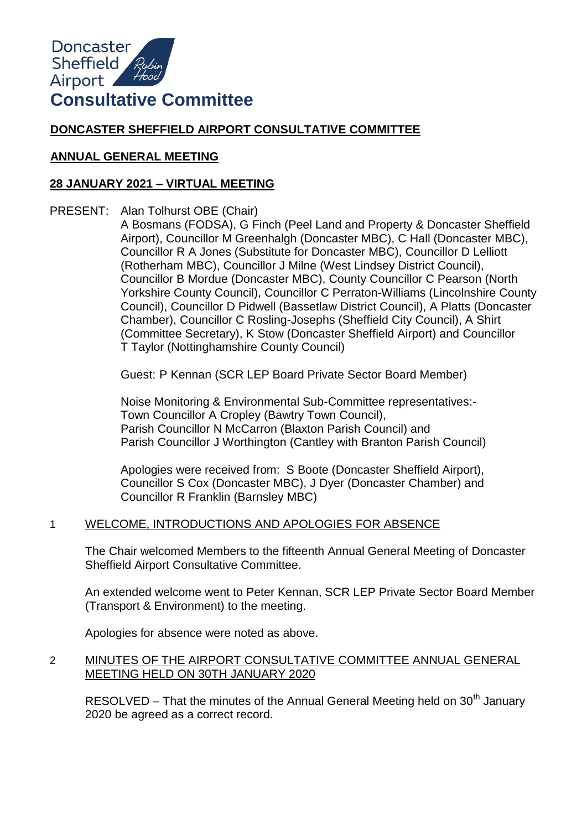

# **DONCASTER SHEFFIELD AIRPORT CONSULTATIVE COMMITTEE**

## **ANNUAL GENERAL MEETING**

# **28 JANUARY 2021 – VIRTUAL MEETING**

PRESENT: Alan Tolhurst OBE (Chair)

A Bosmans (FODSA), G Finch (Peel Land and Property & Doncaster Sheffield Airport), Councillor M Greenhalgh (Doncaster MBC), C Hall (Doncaster MBC), Councillor R A Jones (Substitute for Doncaster MBC), Councillor D Lelliott (Rotherham MBC), Councillor J Milne (West Lindsey District Council), Councillor B Mordue (Doncaster MBC), County Councillor C Pearson (North Yorkshire County Council), Councillor C Perraton-Williams (Lincolnshire County Council), Councillor D Pidwell (Bassetlaw District Council), A Platts (Doncaster Chamber), Councillor C Rosling-Josephs (Sheffield City Council), A Shirt (Committee Secretary), K Stow (Doncaster Sheffield Airport) and Councillor T Taylor (Nottinghamshire County Council)

Guest: P Kennan (SCR LEP Board Private Sector Board Member)

Noise Monitoring & Environmental Sub-Committee representatives:- Town Councillor A Cropley (Bawtry Town Council), Parish Councillor N McCarron (Blaxton Parish Council) and Parish Councillor J Worthington (Cantley with Branton Parish Council)

Apologies were received from: S Boote (Doncaster Sheffield Airport), Councillor S Cox (Doncaster MBC), J Dyer (Doncaster Chamber) and Councillor R Franklin (Barnsley MBC)

## 1 WELCOME, INTRODUCTIONS AND APOLOGIES FOR ABSENCE

The Chair welcomed Members to the fifteenth Annual General Meeting of Doncaster Sheffield Airport Consultative Committee.

An extended welcome went to Peter Kennan, SCR LEP Private Sector Board Member (Transport & Environment) to the meeting.

Apologies for absence were noted as above.

## 2 MINUTES OF THE AIRPORT CONSULTATIVE COMMITTEE ANNUAL GENERAL MEETING HELD ON 30TH JANUARY 2020

RESOLVED – That the minutes of the Annual General Meeting held on  $30<sup>th</sup>$  January 2020 be agreed as a correct record.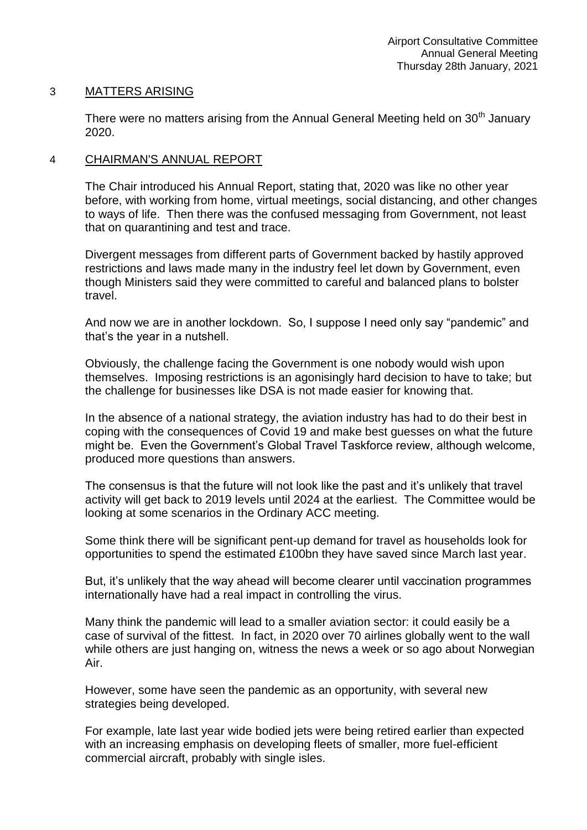### 3 MATTERS ARISING

There were no matters arising from the Annual General Meeting held on  $30<sup>th</sup>$  January 2020.

### 4 CHAIRMAN'S ANNUAL REPORT

The Chair introduced his Annual Report, stating that, 2020 was like no other year before, with working from home, virtual meetings, social distancing, and other changes to ways of life. Then there was the confused messaging from Government, not least that on quarantining and test and trace.

Divergent messages from different parts of Government backed by hastily approved restrictions and laws made many in the industry feel let down by Government, even though Ministers said they were committed to careful and balanced plans to bolster travel.

And now we are in another lockdown. So, I suppose I need only say "pandemic" and that's the year in a nutshell.

Obviously, the challenge facing the Government is one nobody would wish upon themselves. Imposing restrictions is an agonisingly hard decision to have to take; but the challenge for businesses like DSA is not made easier for knowing that.

In the absence of a national strategy, the aviation industry has had to do their best in coping with the consequences of Covid 19 and make best guesses on what the future might be. Even the Government's Global Travel Taskforce review, although welcome, produced more questions than answers.

The consensus is that the future will not look like the past and it's unlikely that travel activity will get back to 2019 levels until 2024 at the earliest. The Committee would be looking at some scenarios in the Ordinary ACC meeting.

Some think there will be significant pent-up demand for travel as households look for opportunities to spend the estimated £100bn they have saved since March last year.

But, it's unlikely that the way ahead will become clearer until vaccination programmes internationally have had a real impact in controlling the virus.

Many think the pandemic will lead to a smaller aviation sector: it could easily be a case of survival of the fittest. In fact, in 2020 over 70 airlines globally went to the wall while others are just hanging on, witness the news a week or so ago about Norwegian Air.

However, some have seen the pandemic as an opportunity, with several new strategies being developed.

For example, late last year wide bodied jets were being retired earlier than expected with an increasing emphasis on developing fleets of smaller, more fuel-efficient commercial aircraft, probably with single isles.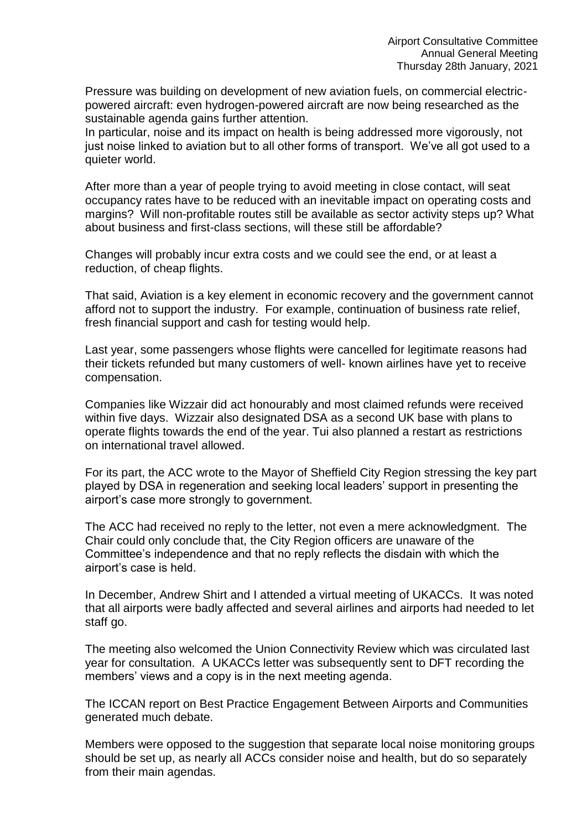Pressure was building on development of new aviation fuels, on commercial electricpowered aircraft: even hydrogen-powered aircraft are now being researched as the sustainable agenda gains further attention.

In particular, noise and its impact on health is being addressed more vigorously, not just noise linked to aviation but to all other forms of transport. We've all got used to a quieter world.

After more than a year of people trying to avoid meeting in close contact, will seat occupancy rates have to be reduced with an inevitable impact on operating costs and margins? Will non-profitable routes still be available as sector activity steps up? What about business and first-class sections, will these still be affordable?

Changes will probably incur extra costs and we could see the end, or at least a reduction, of cheap flights.

That said, Aviation is a key element in economic recovery and the government cannot afford not to support the industry. For example, continuation of business rate relief, fresh financial support and cash for testing would help.

Last year, some passengers whose flights were cancelled for legitimate reasons had their tickets refunded but many customers of well- known airlines have yet to receive compensation.

Companies like Wizzair did act honourably and most claimed refunds were received within five days. Wizzair also designated DSA as a second UK base with plans to operate flights towards the end of the year. Tui also planned a restart as restrictions on international travel allowed.

For its part, the ACC wrote to the Mayor of Sheffield City Region stressing the key part played by DSA in regeneration and seeking local leaders' support in presenting the airport's case more strongly to government.

The ACC had received no reply to the letter, not even a mere acknowledgment. The Chair could only conclude that, the City Region officers are unaware of the Committee's independence and that no reply reflects the disdain with which the airport's case is held.

In December, Andrew Shirt and I attended a virtual meeting of UKACCs. It was noted that all airports were badly affected and several airlines and airports had needed to let staff go.

The meeting also welcomed the Union Connectivity Review which was circulated last year for consultation. A UKACCs letter was subsequently sent to DFT recording the members' views and a copy is in the next meeting agenda.

The ICCAN report on Best Practice Engagement Between Airports and Communities generated much debate.

Members were opposed to the suggestion that separate local noise monitoring groups should be set up, as nearly all ACCs consider noise and health, but do so separately from their main agendas.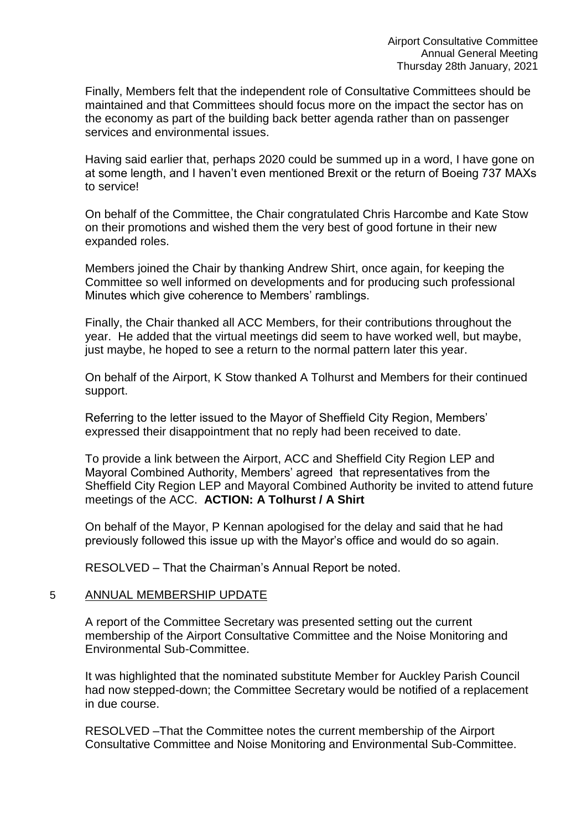Finally, Members felt that the independent role of Consultative Committees should be maintained and that Committees should focus more on the impact the sector has on the economy as part of the building back better agenda rather than on passenger services and environmental issues.

Having said earlier that, perhaps 2020 could be summed up in a word, I have gone on at some length, and I haven't even mentioned Brexit or the return of Boeing 737 MAXs to service!

On behalf of the Committee, the Chair congratulated Chris Harcombe and Kate Stow on their promotions and wished them the very best of good fortune in their new expanded roles.

Members joined the Chair by thanking Andrew Shirt, once again, for keeping the Committee so well informed on developments and for producing such professional Minutes which give coherence to Members' ramblings.

Finally, the Chair thanked all ACC Members, for their contributions throughout the year. He added that the virtual meetings did seem to have worked well, but maybe, just maybe, he hoped to see a return to the normal pattern later this year.

On behalf of the Airport, K Stow thanked A Tolhurst and Members for their continued support.

Referring to the letter issued to the Mayor of Sheffield City Region, Members' expressed their disappointment that no reply had been received to date.

To provide a link between the Airport, ACC and Sheffield City Region LEP and Mayoral Combined Authority, Members' agreed that representatives from the Sheffield City Region LEP and Mayoral Combined Authority be invited to attend future meetings of the ACC. **ACTION: A Tolhurst / A Shirt**

On behalf of the Mayor, P Kennan apologised for the delay and said that he had previously followed this issue up with the Mayor's office and would do so again.

RESOLVED – That the Chairman's Annual Report be noted.

#### 5 ANNUAL MEMBERSHIP UPDATE

A report of the Committee Secretary was presented setting out the current membership of the Airport Consultative Committee and the Noise Monitoring and Environmental Sub-Committee.

It was highlighted that the nominated substitute Member for Auckley Parish Council had now stepped-down; the Committee Secretary would be notified of a replacement in due course.

RESOLVED –That the Committee notes the current membership of the Airport Consultative Committee and Noise Monitoring and Environmental Sub-Committee.